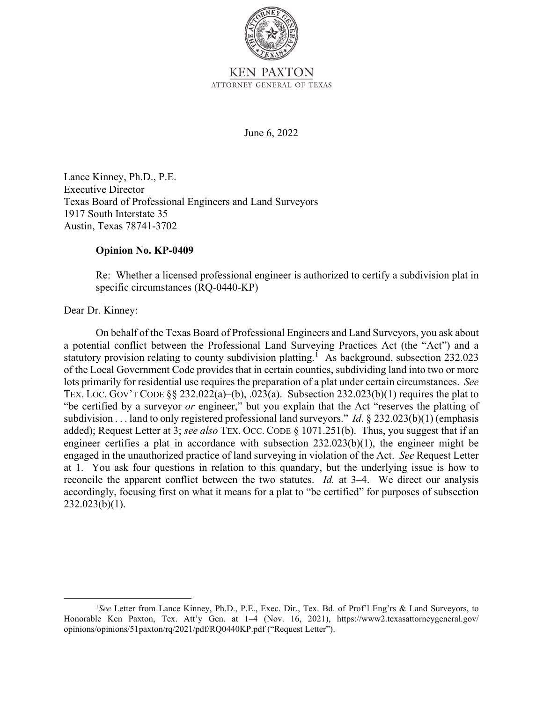

June 6, 2022

Lance Kinney, Ph.D., P.E. Executive Director Texas Board of Professional Engineers and Land Surveyors 1917 South Interstate 35 Austin, Texas 78741-3702

## **Opinion No. KP-0409**

Re: Whether a licensed professional engineer is authorized to certify a subdivision plat in specific circumstances (RQ-0440-KP)

Dear Dr. Kinney:

 a potential conflict between the Professional Land Surveying Practices Act (the "Act") and a lots primarily for residential use requires the preparation of a plat under certain circumstances. *See*  TEX. LOC. GOV'T CODE  $\S\S 232.022(a)$ –(b), .023(a). Subsection 232.023(b)(1) requires the plat to "be certified by a surveyor *or* engineer," but you explain that the Act "reserves the platting of subdivision . . . land to only registered professional land surveyors." *Id*. § 232.023(b)(1) (emphasis added); Request Letter at 3; *see also* TEX. OCC. CODE § 1071.251(b). Thus, you suggest that if an engineer certifies a plat in accordance with subsection 232.023(b)(1), the engineer might be engaged in the unauthorized practice of land surveying in violation of the Act. *See* Request Letter reconcile the apparent conflict between the two statutes. *Id.* at 3–4. We direct our analysis On behalf of the Texas Board of Professional Engineers and Land Surveyors, you ask about statutory provision relating to county subdivision platting.<sup>1</sup> As background, subsection 232.023 of the Local Government Code provides that in certain counties, subdividing land into two or more at 1. You ask four questions in relation to this quandary, but the underlying issue is how to accordingly, focusing first on what it means for a plat to "be certified" for purposes of subsection  $232.023(b)(1)$ .

<sup>&</sup>lt;sup>1</sup>See Letter from Lance Kinney, Ph.D., P.E., Exec. Dir., Tex. Bd. of Prof'l Eng'rs & Land Surveyors, to Honorable Ken Paxton, Tex. Att'y Gen. at 1–4 (Nov. 16, 2021), <https://www2.texasattorneygeneral.gov>/ opinions/opinions/51paxton/rq/2021/pdf/RQ0440KP.pdf ("Request Letter").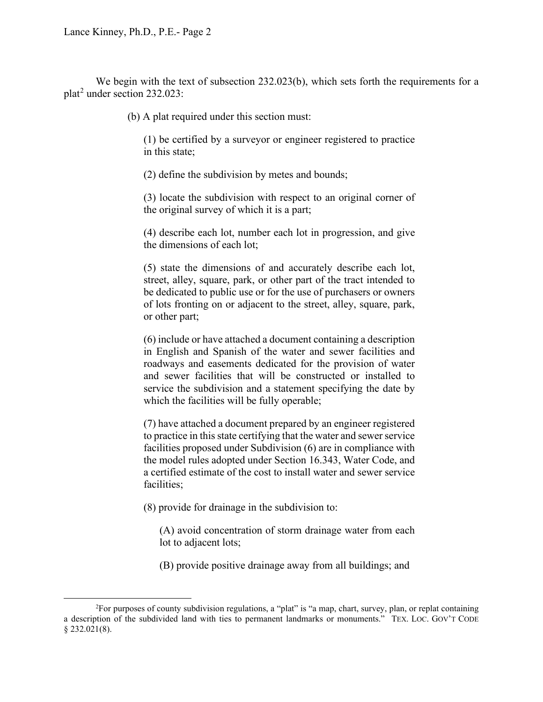Lance Kinney, Ph.D., P.E.- Page 2

plat<sup>2</sup> under section 232.023: under section 232.023:<br>(b) A plat required under this section must: We begin with the text of subsection 232.023(b), which sets forth the requirements for a

(1) be certified by a surveyor or engineer registered to practice in this state;

(2) define the subdivision by metes and bounds;

(3) locate the subdivision with respect to an original corner of the original survey of which it is a part;

(4) describe each lot, number each lot in progression, and give the dimensions of each lot;

(5) state the dimensions of and accurately describe each lot, street, alley, square, park, or other part of the tract intended to be dedicated to public use or for the use of purchasers or owners of lots fronting on or adjacent to the street, alley, square, park, or other part;

 in English and Spanish of the water and sewer facilities and (6) include or have attached a document containing a description roadways and easements dedicated for the provision of water and sewer facilities that will be constructed or installed to service the subdivision and a statement specifying the date by which the facilities will be fully operable;

 (7) have attached a document prepared by an engineer registered the model rules adopted under Section 16.343, Water Code, and a certified estimate of the cost to install water and sewer service to practice in this state certifying that the water and sewer service facilities proposed under Subdivision (6) are in compliance with facilities;

(8) provide for drainage in the subdivision to:

 (A) avoid concentration of storm drainage water from each lot to adjacent lots;

(B) provide positive drainage away from all buildings; and

 2 For purposes of county subdivision regulations, a "plat" is "a map, chart, survey, plan, or replat containing a description of the subdivided land with ties to permanent landmarks or monuments." TEX. LOC. GOV'T CODE § 232.021(8).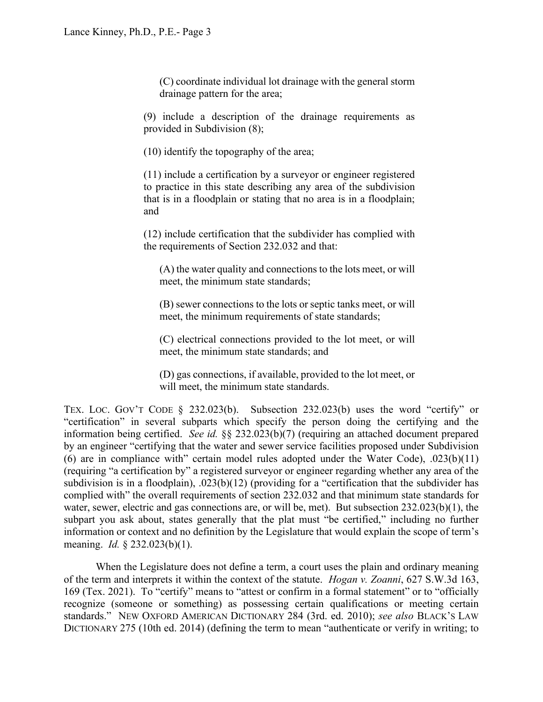(C) coordinate individual lot drainage with the general storm drainage pattern for the area;

(9) include a description of the drainage requirements as provided in Subdivision (8);

(10) identify the topography of the area;

(11) include a certification by a surveyor or engineer registered to practice in this state describing any area of the subdivision that is in a floodplain or stating that no area is in a floodplain; and

(12) include certification that the subdivider has complied with the requirements of Section 232.032 and that:

(A) the water quality and connections to the lots meet, or will meet, the minimum state standards;

(B) sewer connections to the lots or septic tanks meet, or will meet, the minimum requirements of state standards;

(C) electrical connections provided to the lot meet, or will meet, the minimum state standards; and

(D) gas connections, if available, provided to the lot meet, or will meet, the minimum state standards.

 TEX. LOC. GOV'T CODE § 232.023(b). Subsection 232.023(b) uses the word "certify" or "certification" in several subparts which specify the person doing the certifying and the complied with" the overall requirements of section 232.032 and that minimum state standards for information or context and no definition by the Legislature that would explain the scope of term's information being certified. *See id.* §§ 232.023(b)(7) (requiring an attached document prepared by an engineer "certifying that the water and sewer service facilities proposed under Subdivision (6) are in compliance with" certain model rules adopted under the Water Code), .023(b)(11) (requiring "a certification by" a registered surveyor or engineer regarding whether any area of the subdivision is in a floodplain), .023(b)(12) (providing for a "certification that the subdivider has water, sewer, electric and gas connections are, or will be, met). But subsection 232.023(b)(1), the subpart you ask about, states generally that the plat must "be certified," including no further meaning. *Id.* § 232.023(b)(1).

 169 (Tex. 2021). To "certify" means to "attest or confirm in a formal statement" or to "officially When the Legislature does not define a term, a court uses the plain and ordinary meaning of the term and interprets it within the context of the statute. *Hogan v. Zoanni*, 627 S.W.3d 163, recognize (someone or something) as possessing certain qualifications or meeting certain standards." NEW OXFORD AMERICAN DICTIONARY 284 (3rd. ed. 2010); *see also* BLACK'S LAW DICTIONARY 275 (10th ed. 2014) (defining the term to mean "authenticate or verify in writing; to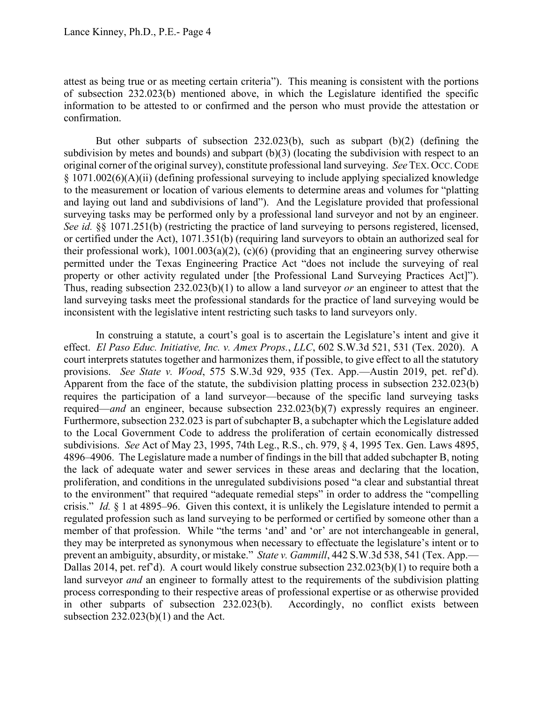attest as being true or as meeting certain criteria"). This meaning is consistent with the portions of subsection 232.023(b) mentioned above, in which the Legislature identified the specific information to be attested to or confirmed and the person who must provide the attestation or confirmation.

 But other subparts of subsection 232.023(b), such as subpart (b)(2) (defining the original corner of the original survey), constitute professional land surveying. *See* TEX. OCC. CODE to the measurement or location of various elements to determine areas and volumes for "platting and laying out land and subdivisions of land"). And the Legislature provided that professional their professional work), 1001.003(a)(2), (c)(6) (providing that an engineering survey otherwise subdivision by metes and bounds) and subpart  $(b)(3)$  (locating the subdivision with respect to an § 1071.002(6)(A)(ii) (defining professional surveying to include applying specialized knowledge surveying tasks may be performed only by a professional land surveyor and not by an engineer. *See id.* §§ 1071.251(b) (restricting the practice of land surveying to persons registered, licensed, or certified under the Act), 1071.351(b) (requiring land surveyors to obtain an authorized seal for permitted under the Texas Engineering Practice Act "does not include the surveying of real property or other activity regulated under [the Professional Land Surveying Practices Act]"). Thus, reading subsection 232.023(b)(1) to allow a land surveyor *or* an engineer to attest that the land surveying tasks meet the professional standards for the practice of land surveying would be inconsistent with the legislative intent restricting such tasks to land surveyors only.

 effect. *El Paso Educ. Initiative, Inc. v. Amex Props.*, *LLC*, 602 S.W.3d 521, 531 (Tex. 2020). A Apparent from the face of the statute, the subdivision platting process in subsection 232.023(b) subdivisions. *See* Act of May 23, 1995, 74th Leg., R.S., ch. 979, § 4, 1995 Tex. Gen. Laws 4895, to the environment" that required "adequate remedial steps" in order to address the "compelling crisis." *Id.* § 1 at 4895–96. Given this context, it is unlikely the Legislature intended to permit a member of that profession. While "the terms 'and' and 'or' are not interchangeable in general, Dallas 2014, pet. ref'd). A court would likely construe subsection 232.023(b)(1) to require both a In construing a statute, a court's goal is to ascertain the Legislature's intent and give it court interprets statutes together and harmonizes them, if possible, to give effect to all the statutory provisions. *See State v. Wood*, 575 S.W.3d 929, 935 (Tex. App.—Austin 2019, pet. ref'd). requires the participation of a land surveyor—because of the specific land surveying tasks required—*and* an engineer, because subsection 232.023(b)(7) expressly requires an engineer. Furthermore, subsection 232.023 is part of subchapter B, a subchapter which the Legislature added to the Local Government Code to address the proliferation of certain economically distressed 4896–4906. The Legislature made a number of findings in the bill that added subchapter B, noting the lack of adequate water and sewer services in these areas and declaring that the location, proliferation, and conditions in the unregulated subdivisions posed "a clear and substantial threat regulated profession such as land surveying to be performed or certified by someone other than a they may be interpreted as synonymous when necessary to effectuate the legislature's intent or to prevent an ambiguity, absurdity, or mistake." *State v. Gammill*, 442 S.W.3d 538, 541 (Tex. App. land surveyor *and* an engineer to formally attest to the requirements of the subdivision platting process corresponding to their respective areas of professional expertise or as otherwise provided in other subparts of subsection 232.023(b). Accordingly, no conflict exists between subsection  $232.023(b)(1)$  and the Act.